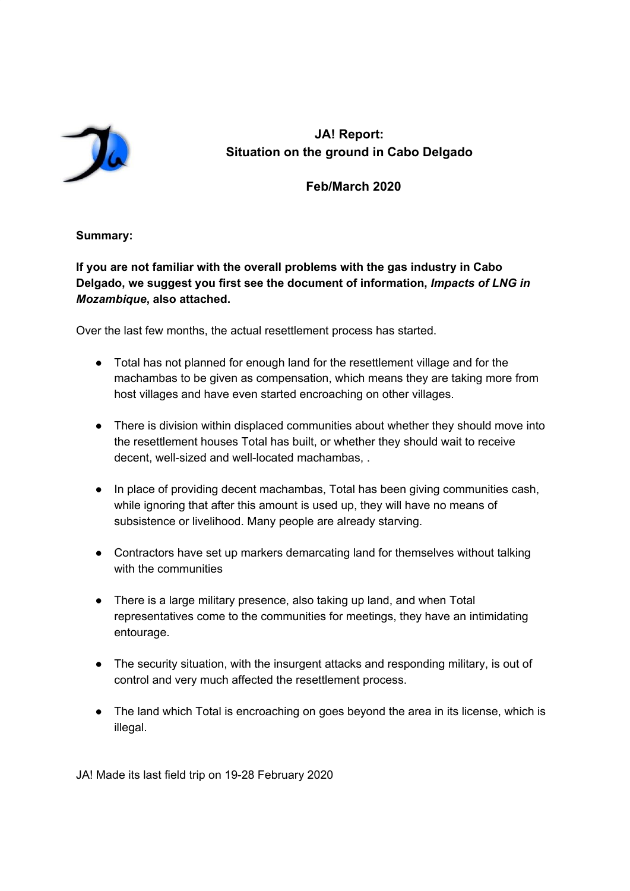

**JA! Report: Situation on the ground in Cabo Delgado**

 **Feb/March 2020**

# **Summary:**

**If you are not familiar with the overall problems with the gas industry in Cabo Delgado, we suggest you first see the document of information,** *Impacts of LNG in Mozambique***, also attached.**

Over the last few months, the actual resettlement process has started.

- Total has not planned for enough land for the resettlement village and for the machambas to be given as compensation, which means they are taking more from host villages and have even started encroaching on other villages.
- There is division within displaced communities about whether they should move into the resettlement houses Total has built, or whether they should wait to receive decent, well-sized and well-located machambas, .
- In place of providing decent machambas, Total has been giving communities cash, while ignoring that after this amount is used up, they will have no means of subsistence or livelihood. Many people are already starving.
- Contractors have set up markers demarcating land for themselves without talking with the communities
- There is a large military presence, also taking up land, and when Total representatives come to the communities for meetings, they have an intimidating entourage.
- The security situation, with the insurgent attacks and responding military, is out of control and very much affected the resettlement process.
- The land which Total is encroaching on goes beyond the area in its license, which is illegal.

JA! Made its last field trip on 19-28 February 2020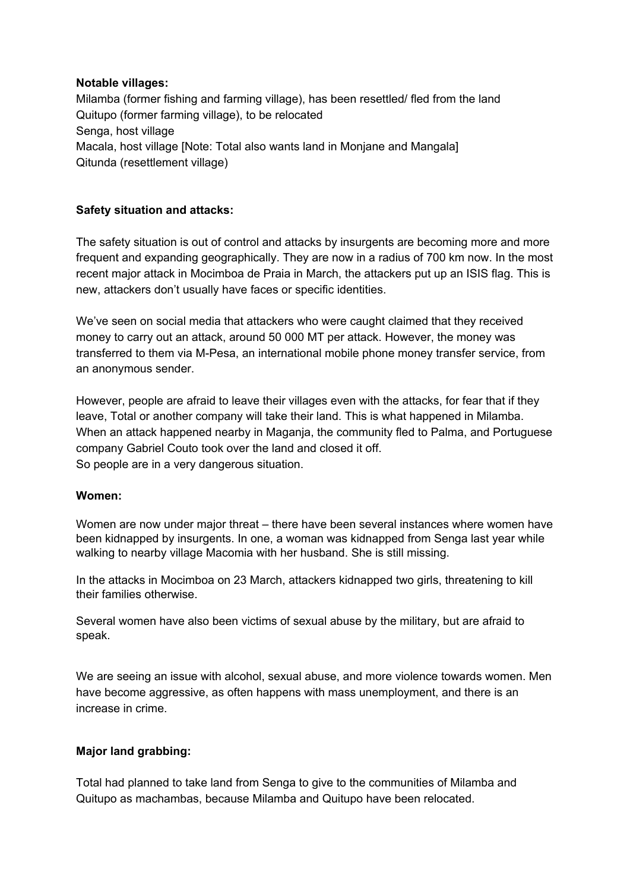# **Notable villages:**

Milamba (former fishing and farming village), has been resettled/ fled from the land Quitupo (former farming village), to be relocated Senga, host village Macala, host village [Note: Total also wants land in Monjane and Mangala] Qitunda (resettlement village)

# **Safety situation and attacks:**

The safety situation is out of control and attacks by insurgents are becoming more and more frequent and expanding geographically. They are now in a radius of 700 km now. In the most recent major attack in Mocimboa de Praia in March, the attackers put up an ISIS flag. This is new, attackers don't usually have faces or specific identities.

We've seen on social media that attackers who were caught claimed that they received money to carry out an attack, around 50 000 MT per attack. However, the money was transferred to them via M-Pesa, an international mobile phone money transfer service, from an anonymous sender.

However, people are afraid to leave their villages even with the attacks, for fear that if they leave, Total or another company will take their land. This is what happened in Milamba. When an attack happened nearby in Maganja, the community fled to Palma, and Portuguese company Gabriel Couto took over the land and closed it off. So people are in a very dangerous situation.

# **Women:**

Women are now under major threat – there have been several instances where women have been kidnapped by insurgents. In one, a woman was kidnapped from Senga last year while walking to nearby village Macomia with her husband. She is still missing.

In the attacks in Mocimboa on 23 March, attackers kidnapped two girls, threatening to kill their families otherwise.

Several women have also been victims of sexual abuse by the military, but are afraid to speak.

We are seeing an issue with alcohol, sexual abuse, and more violence towards women. Men have become aggressive, as often happens with mass unemployment, and there is an increase in crime.

# **Major land grabbing:**

Total had planned to take land from Senga to give to the communities of Milamba and Quitupo as machambas, because Milamba and Quitupo have been relocated.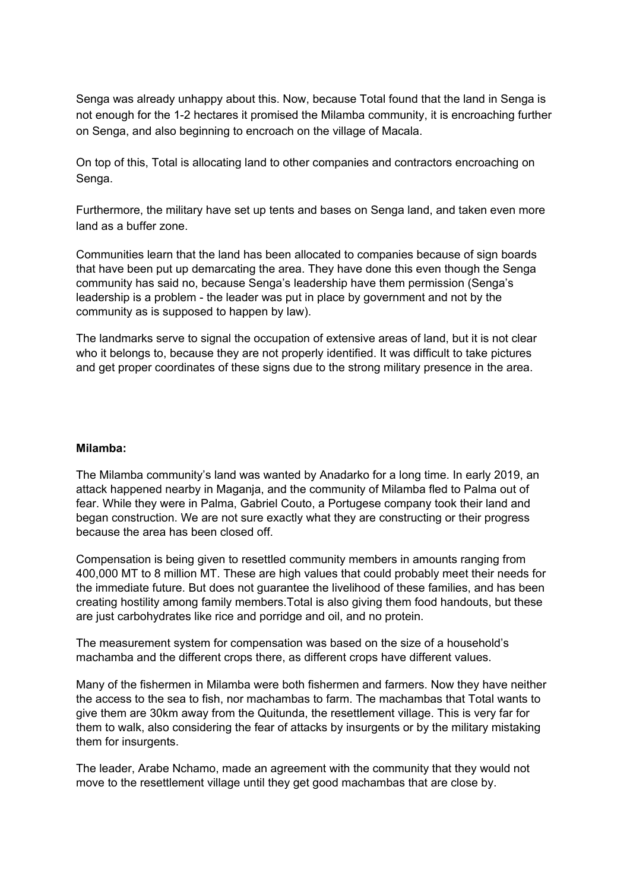Senga was already unhappy about this. Now, because Total found that the land in Senga is not enough for the 1-2 hectares it promised the Milamba community, it is encroaching further on Senga, and also beginning to encroach on the village of Macala.

On top of this, Total is allocating land to other companies and contractors encroaching on Senga.

Furthermore, the military have set up tents and bases on Senga land, and taken even more land as a buffer zone.

Communities learn that the land has been allocated to companies because of sign boards that have been put up demarcating the area. They have done this even though the Senga community has said no, because Senga's leadership have them permission (Senga's leadership is a problem - the leader was put in place by government and not by the community as is supposed to happen by law).

The landmarks serve to signal the occupation of extensive areas of land, but it is not clear who it belongs to, because they are not properly identified. It was difficult to take pictures and get proper coordinates of these signs due to the strong military presence in the area.

### **Milamba:**

The Milamba community's land was wanted by Anadarko for a long time. In early 2019, an attack happened nearby in Maganja, and the community of Milamba fled to Palma out of fear. While they were in Palma, Gabriel Couto, a Portugese company took their land and began construction. We are not sure exactly what they are constructing or their progress because the area has been closed off.

Compensation is being given to resettled community members in amounts ranging from 400,000 MT to 8 million MT. These are high values that could probably meet their needs for the immediate future. But does not guarantee the livelihood of these families, and has been creating hostility among family members.Total is also giving them food handouts, but these are just carbohydrates like rice and porridge and oil, and no protein.

The measurement system for compensation was based on the size of a household's machamba and the different crops there, as different crops have different values.

Many of the fishermen in Milamba were both fishermen and farmers. Now they have neither the access to the sea to fish, nor machambas to farm. The machambas that Total wants to give them are 30km away from the Quitunda, the resettlement village. This is very far for them to walk, also considering the fear of attacks by insurgents or by the military mistaking them for insurgents.

The leader, Arabe Nchamo, made an agreement with the community that they would not move to the resettlement village until they get good machambas that are close by.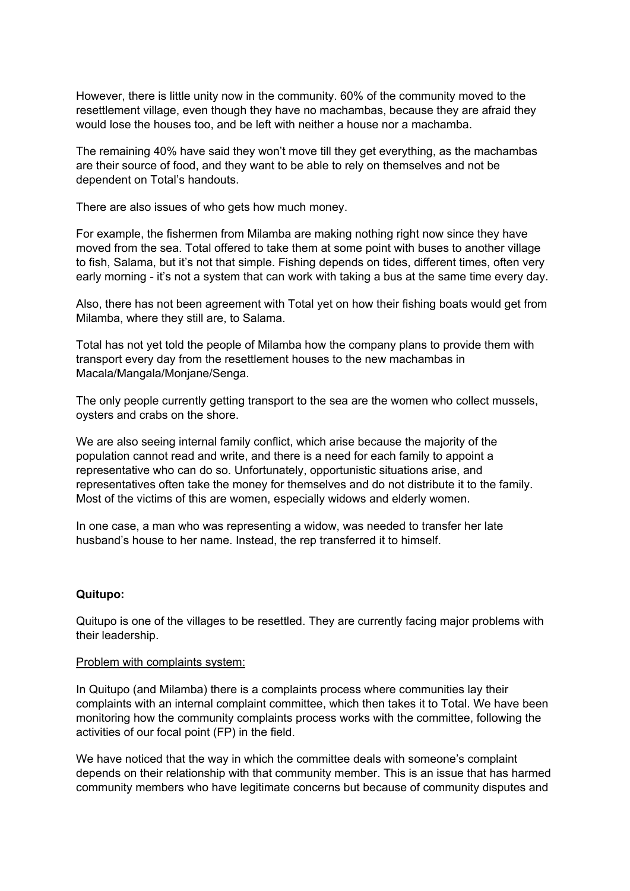However, there is little unity now in the community. 60% of the community moved to the resettlement village, even though they have no machambas, because they are afraid they would lose the houses too, and be left with neither a house nor a machamba.

The remaining 40% have said they won't move till they get everything, as the machambas are their source of food, and they want to be able to rely on themselves and not be dependent on Total's handouts.

There are also issues of who gets how much money.

For example, the fishermen from Milamba are making nothing right now since they have moved from the sea. Total offered to take them at some point with buses to another village to fish, Salama, but it's not that simple. Fishing depends on tides, different times, often very early morning - it's not a system that can work with taking a bus at the same time every day.

Also, there has not been agreement with Total yet on how their fishing boats would get from Milamba, where they still are, to Salama.

Total has not yet told the people of Milamba how the company plans to provide them with transport every day from the resettlement houses to the new machambas in Macala/Mangala/Monjane/Senga.

The only people currently getting transport to the sea are the women who collect mussels, oysters and crabs on the shore.

We are also seeing internal family conflict, which arise because the majority of the population cannot read and write, and there is a need for each family to appoint a representative who can do so. Unfortunately, opportunistic situations arise, and representatives often take the money for themselves and do not distribute it to the family. Most of the victims of this are women, especially widows and elderly women.

In one case, a man who was representing a widow, was needed to transfer her late husband's house to her name. Instead, the rep transferred it to himself.

### **Quitupo:**

Quitupo is one of the villages to be resettled. They are currently facing major problems with their leadership.

### Problem with complaints system:

In Quitupo (and Milamba) there is a complaints process where communities lay their complaints with an internal complaint committee, which then takes it to Total. We have been monitoring how the community complaints process works with the committee, following the activities of our focal point (FP) in the field.

We have noticed that the way in which the committee deals with someone's complaint depends on their relationship with that community member. This is an issue that has harmed community members who have legitimate concerns but because of community disputes and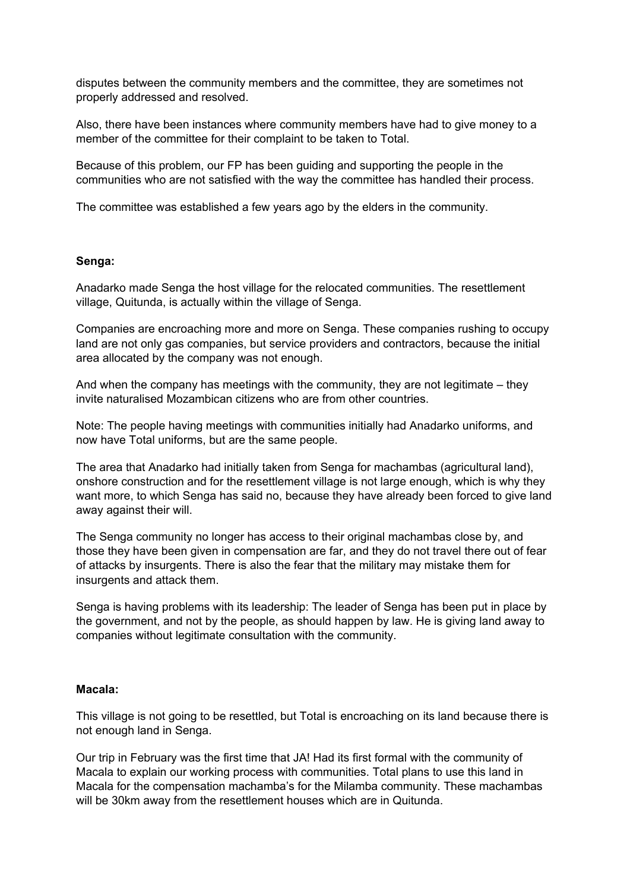disputes between the community members and the committee, they are sometimes not properly addressed and resolved.

Also, there have been instances where community members have had to give money to a member of the committee for their complaint to be taken to Total.

Because of this problem, our FP has been guiding and supporting the people in the communities who are not satisfied with the way the committee has handled their process.

The committee was established a few years ago by the elders in the community.

### **Senga:**

Anadarko made Senga the host village for the relocated communities. The resettlement village, Quitunda, is actually within the village of Senga.

Companies are encroaching more and more on Senga. These companies rushing to occupy land are not only gas companies, but service providers and contractors, because the initial area allocated by the company was not enough.

And when the company has meetings with the community, they are not legitimate – they invite naturalised Mozambican citizens who are from other countries.

Note: The people having meetings with communities initially had Anadarko uniforms, and now have Total uniforms, but are the same people.

The area that Anadarko had initially taken from Senga for machambas (agricultural land), onshore construction and for the resettlement village is not large enough, which is why they want more, to which Senga has said no, because they have already been forced to give land away against their will.

The Senga community no longer has access to their original machambas close by, and those they have been given in compensation are far, and they do not travel there out of fear of attacks by insurgents. There is also the fear that the military may mistake them for insurgents and attack them.

Senga is having problems with its leadership: The leader of Senga has been put in place by the government, and not by the people, as should happen by law. He is giving land away to companies without legitimate consultation with the community.

### **Macala:**

This village is not going to be resettled, but Total is encroaching on its land because there is not enough land in Senga.

Our trip in February was the first time that JA! Had its first formal with the community of Macala to explain our working process with communities. Total plans to use this land in Macala for the compensation machamba's for the Milamba community. These machambas will be 30km away from the resettlement houses which are in Quitunda.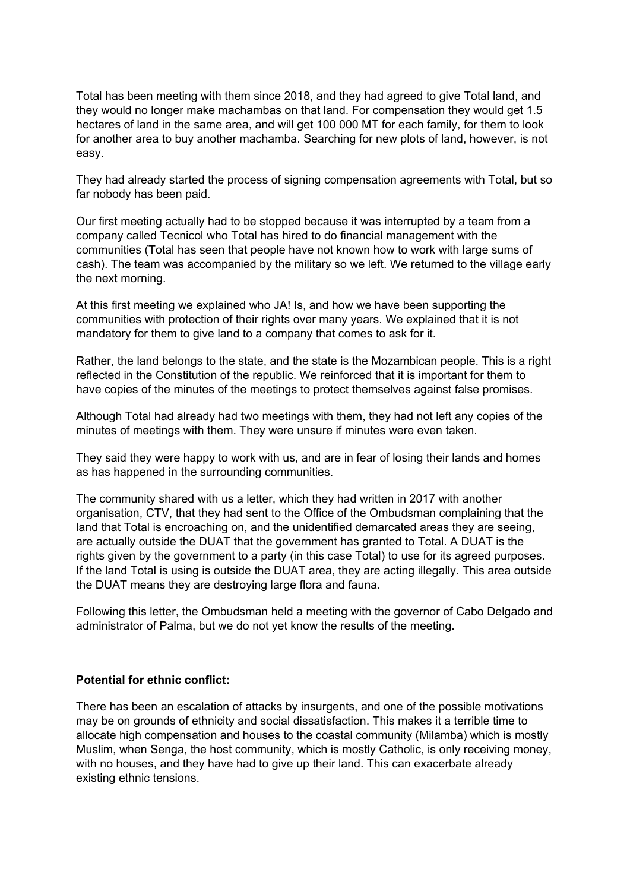Total has been meeting with them since 2018, and they had agreed to give Total land, and they would no longer make machambas on that land. For compensation they would get 1.5 hectares of land in the same area, and will get 100 000 MT for each family, for them to look for another area to buy another machamba. Searching for new plots of land, however, is not easy.

They had already started the process of signing compensation agreements with Total, but so far nobody has been paid.

Our first meeting actually had to be stopped because it was interrupted by a team from a company called Tecnicol who Total has hired to do financial management with the communities (Total has seen that people have not known how to work with large sums of cash). The team was accompanied by the military so we left. We returned to the village early the next morning.

At this first meeting we explained who JA! Is, and how we have been supporting the communities with protection of their rights over many years. We explained that it is not mandatory for them to give land to a company that comes to ask for it.

Rather, the land belongs to the state, and the state is the Mozambican people. This is a right reflected in the Constitution of the republic. We reinforced that it is important for them to have copies of the minutes of the meetings to protect themselves against false promises.

Although Total had already had two meetings with them, they had not left any copies of the minutes of meetings with them. They were unsure if minutes were even taken.

They said they were happy to work with us, and are in fear of losing their lands and homes as has happened in the surrounding communities.

The community shared with us a letter, which they had written in 2017 with another organisation, CTV, that they had sent to the Office of the Ombudsman complaining that the land that Total is encroaching on, and the unidentified demarcated areas they are seeing, are actually outside the DUAT that the government has granted to Total. A DUAT is the rights given by the government to a party (in this case Total) to use for its agreed purposes. If the land Total is using is outside the DUAT area, they are acting illegally. This area outside the DUAT means they are destroying large flora and fauna.

Following this letter, the Ombudsman held a meeting with the governor of Cabo Delgado and administrator of Palma, but we do not yet know the results of the meeting.

### **Potential for ethnic conflict:**

There has been an escalation of attacks by insurgents, and one of the possible motivations may be on grounds of ethnicity and social dissatisfaction. This makes it a terrible time to allocate high compensation and houses to the coastal community (Milamba) which is mostly Muslim, when Senga, the host community, which is mostly Catholic, is only receiving money, with no houses, and they have had to give up their land. This can exacerbate already existing ethnic tensions.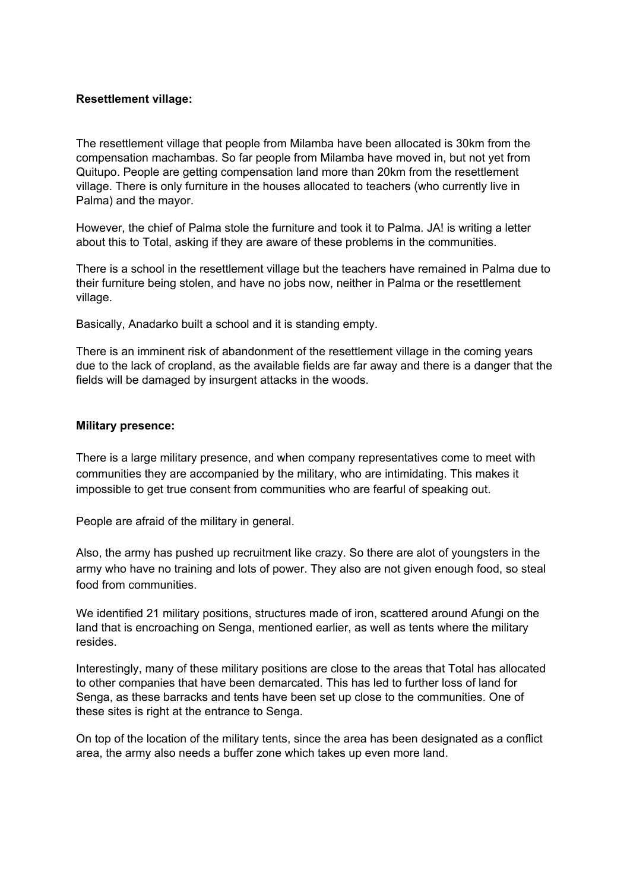## **Resettlement village:**

The resettlement village that people from Milamba have been allocated is 30km from the compensation machambas. So far people from Milamba have moved in, but not yet from Quitupo. People are getting compensation land more than 20km from the resettlement village. There is only furniture in the houses allocated to teachers (who currently live in Palma) and the mayor.

However, the chief of Palma stole the furniture and took it to Palma. JA! is writing a letter about this to Total, asking if they are aware of these problems in the communities.

There is a school in the resettlement village but the teachers have remained in Palma due to their furniture being stolen, and have no jobs now, neither in Palma or the resettlement village.

Basically, Anadarko built a school and it is standing empty.

There is an imminent risk of abandonment of the resettlement village in the coming years due to the lack of cropland, as the available fields are far away and there is a danger that the fields will be damaged by insurgent attacks in the woods.

### **Military presence:**

There is a large military presence, and when company representatives come to meet with communities they are accompanied by the military, who are intimidating. This makes it impossible to get true consent from communities who are fearful of speaking out.

People are afraid of the military in general.

Also, the army has pushed up recruitment like crazy. So there are alot of youngsters in the army who have no training and lots of power. They also are not given enough food, so steal food from communities.

We identified 21 military positions, structures made of iron, scattered around Afungi on the land that is encroaching on Senga, mentioned earlier, as well as tents where the military resides.

Interestingly, many of these military positions are close to the areas that Total has allocated to other companies that have been demarcated. This has led to further loss of land for Senga, as these barracks and tents have been set up close to the communities. One of these sites is right at the entrance to Senga.

On top of the location of the military tents, since the area has been designated as a conflict area, the army also needs a buffer zone which takes up even more land.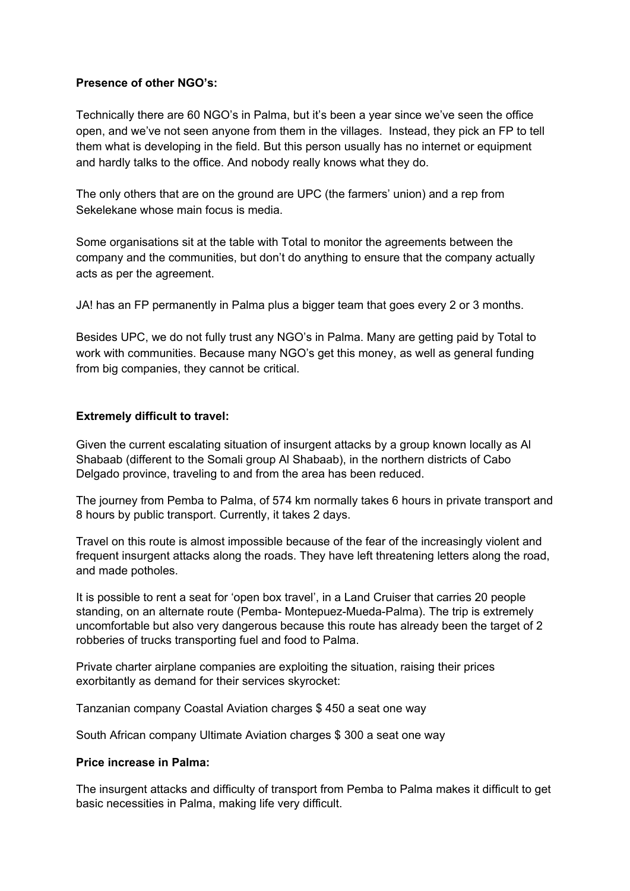# **Presence of other NGO's:**

Technically there are 60 NGO's in Palma, but it's been a year since we've seen the office open, and we've not seen anyone from them in the villages. Instead, they pick an FP to tell them what is developing in the field. But this person usually has no internet or equipment and hardly talks to the office. And nobody really knows what they do.

The only others that are on the ground are UPC (the farmers' union) and a rep from Sekelekane whose main focus is media.

Some organisations sit at the table with Total to monitor the agreements between the company and the communities, but don't do anything to ensure that the company actually acts as per the agreement.

JA! has an FP permanently in Palma plus a bigger team that goes every 2 or 3 months.

Besides UPC, we do not fully trust any NGO's in Palma. Many are getting paid by Total to work with communities. Because many NGO's get this money, as well as general funding from big companies, they cannot be critical.

## **Extremely difficult to travel:**

Given the current escalating situation of insurgent attacks by a group known locally as Al Shabaab (different to the Somali group Al Shabaab), in the northern districts of Cabo Delgado province, traveling to and from the area has been reduced.

The journey from Pemba to Palma, of 574 km normally takes 6 hours in private transport and 8 hours by public transport. Currently, it takes 2 days.

Travel on this route is almost impossible because of the fear of the increasingly violent and frequent insurgent attacks along the roads. They have left threatening letters along the road, and made potholes.

It is possible to rent a seat for 'open box travel', in a Land Cruiser that carries 20 people standing, on an alternate route (Pemba- Montepuez-Mueda-Palma). The trip is extremely uncomfortable but also very dangerous because this route has already been the target of 2 robberies of trucks transporting fuel and food to Palma.

Private charter airplane companies are exploiting the situation, raising their prices exorbitantly as demand for their services skyrocket:

Tanzanian company Coastal Aviation charges \$ 450 a seat one way

South African company Ultimate Aviation charges \$ 300 a seat one way

## **Price increase in Palma:**

The insurgent attacks and difficulty of transport from Pemba to Palma makes it difficult to get basic necessities in Palma, making life very difficult.